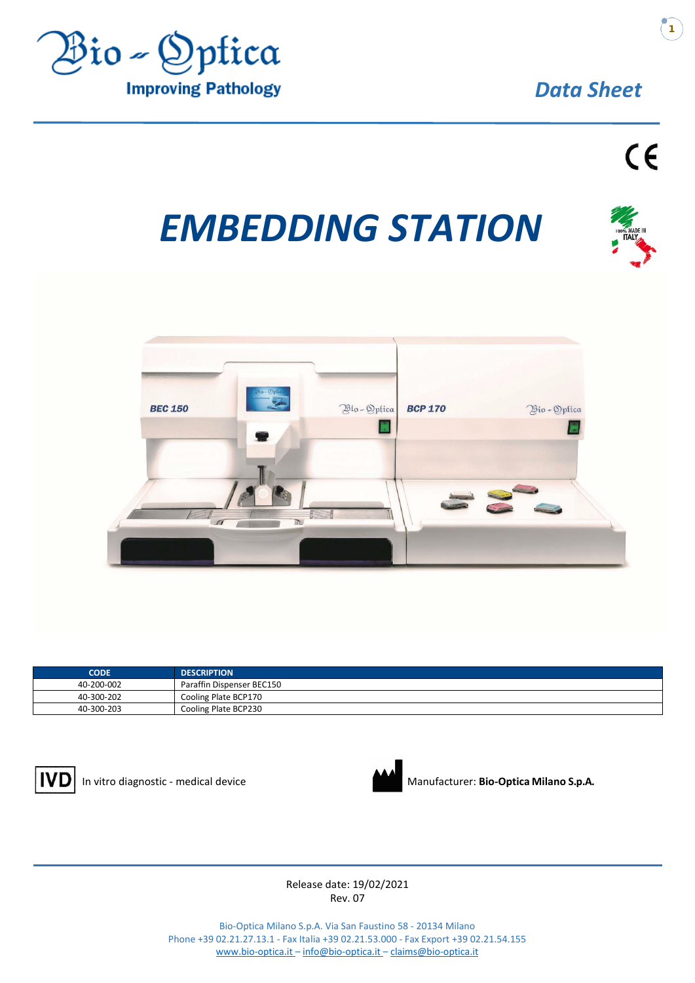

# *EMBEDDING STATION*



| <b>CODE</b> | <b>DESCRIPTION</b>        |
|-------------|---------------------------|
| 40-200-002  | Paraffin Dispenser BEC150 |
| 40-300-202  | Cooling Plate BCP170      |
| 40-300-203  | Cooling Plate BCP230      |





In vitro diagnostic - medical device Manufacturer: **Bio-Optica Milano S.p.A.** 

Release date: 19/02/2021 Rev. 07

Bio-Optica Milano S.p.A. Via San Faustino 58 - 20134 Milano Phone +39 02.21.27.13.1 - Fax Italia +39 02.21.53.000 - Fax Export +39 02.21.54.155 www.bio-optica.it – [info@bio-optica.it](mailto:info@bio-optica.it) – claims@bio-optica.it



Zone industrielle Ouled Salah - Jijel 18000 Algérie Tél.Fax: + 213 34 54 99 10 + 213 34 54 99 11

+ 213 34 54 99 12 + 213 56 00 67 594 www.modernesante.com contact@modernesante.com **1**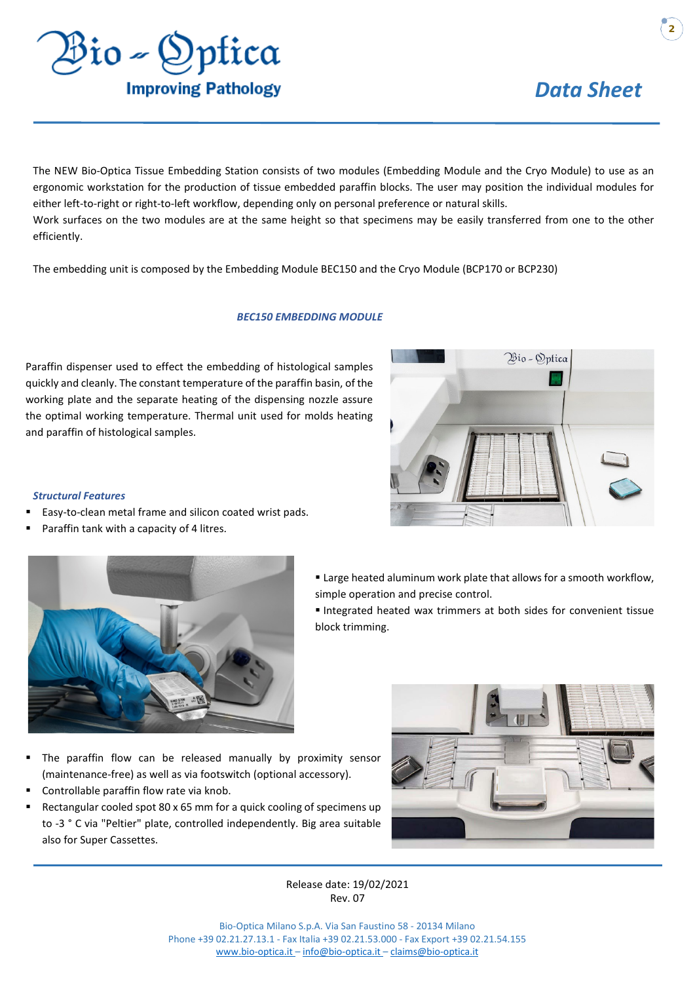

Bio - Optica

**2**

The NEW Bio-Optica Tissue Embedding Station consists of two modules (Embedding Module and the Cryo Module) to use as an ergonomic workstation for the production of tissue embedded paraffin blocks. The user may position the individual modules for either left-to-right or right-to-left workflow, depending only on personal preference or natural skills.

Work surfaces on the two modules are at the same height so that specimens may be easily transferred from one to the other efficiently.

The embedding unit is composed by the Embedding Module BEC150 and the Cryo Module (BCP170 or BCP230)

#### *BEC150 EMBEDDING MODULE*

Paraffin dispenser used to effect the embedding of histological samples quickly and cleanly. The constant temperature of the paraffin basin, of the working plate and the separate heating of the dispensing nozzle assure the optimal working temperature. Thermal unit used for molds heating and paraffin of histological samples.

#### *Structural Features*

- Easy-to-clean metal frame and silicon coated wrist pads.
- Paraffin tank with a capacity of 4 litres.



- **Example 1** Large heated aluminum work plate that allows for a smooth workflow, simple operation and precise control.
- Integrated heated wax trimmers at both sides for convenient tissue block trimming.

- The paraffin flow can be released manually by proximity sensor (maintenance-free) as well as via footswitch (optional accessory).
- Controllable paraffin flow rate via knob.
- Rectangular cooled spot 80 x 65 mm for a quick cooling of specimens up to -3 ° C via "Peltier" plate, controlled independently. Big area suitable also for Super Cassettes.



Release date: 19/02/2021 Rev. 07

Bio-Optica Milano S.p.A. Via San Faustino 58 - 20134 Milano Phone +39 02.21.27.13.1 - Fax Italia +39 02.21.53.000 - Fax Export +39 02.21.54.155 www.bio-optica.it – [info@bio-optica.it](mailto:info@bio-optica.it) – claims@bio-optica.it





Zone industrielle [Ouled Salah - Jijel 1](http://www.bio-optica.it/)8000 Algérie Tél.Fax: + 213 34 54 99 10  $+ 21334549911$ 

+ 213 34 54 99 12 + 213 56 00 67 594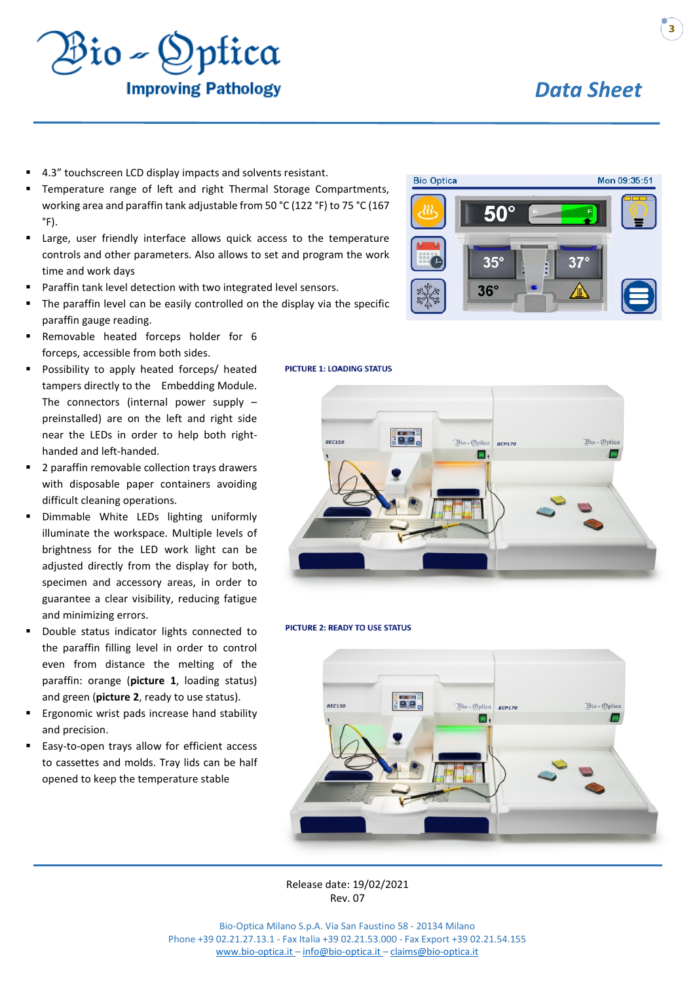

- 4.3" touchscreen LCD display impacts and solvents resistant.
- Temperature range of left and right Thermal Storage Compartments, working area and paraffin tank adjustable from 50 °C (122 °F) to 75 °C (167  $\degree$ F).
- Large, user friendly interface allows quick access to the temperature controls and other parameters. Also allows to set and program the work time and work days
- Paraffin tank level detection with two integrated level sensors.
- The paraffin level can be easily controlled on the display via the specific paraffin gauge reading.
- Removable heated forceps holder for 6 forceps, accessible from both sides.
- Possibility to apply heated forceps/ heated tampers directly to the Embedding Module. The connectors (internal power supply – preinstalled) are on the left and right side near the LEDs in order to help both righthanded and left-handed.
- 2 paraffin removable collection trays drawers with disposable paper containers avoiding difficult cleaning operations.
- Dimmable White LEDs lighting uniformly illuminate the workspace. Multiple levels of brightness for the LED work light can be adjusted directly from the display for both, specimen and accessory areas, in order to guarantee a clear visibility, reducing fatigue and minimizing errors.
- Double status indicator lights connected to the paraffin filling level in order to control even from distance the melting of the paraffin: orange (**picture 1**, loading status) and green (**picture 2**, ready to use status).
- Ergonomic wrist pads increase hand stability and precision.
- Easy-to-open trays allow for efficient access to cassettes and molds. Tray lids can be half opened to keep the temperature stable





**PICTURE 2: READY TO USE STATUS** 



Release date: 19/02/2021 Rev. 07

Bio-Optica Milano S.p.A. Via San Faustino 58 - 20134 Milano Phone +39 02.21.27.13.1 - Fax Italia +39 02.21.53.000 - Fax Export +39 02.21.54.155 www.bio-optica.it – [info@bio-optica.it](mailto:info@bio-optica.it) – claims@bio-optica.it



**DISTRIBUER PAR MODERNE SANTÉ** 

Zone industrielle Ouled Salah - Jijel 18000 Algérie Tél.Fax: + 213 34 54 99 10 + 213 34 54 99 11 + 213 34 54 99 12 + 213 56 00 67 594

www.modernesante.com contact@modernesante.com

**3**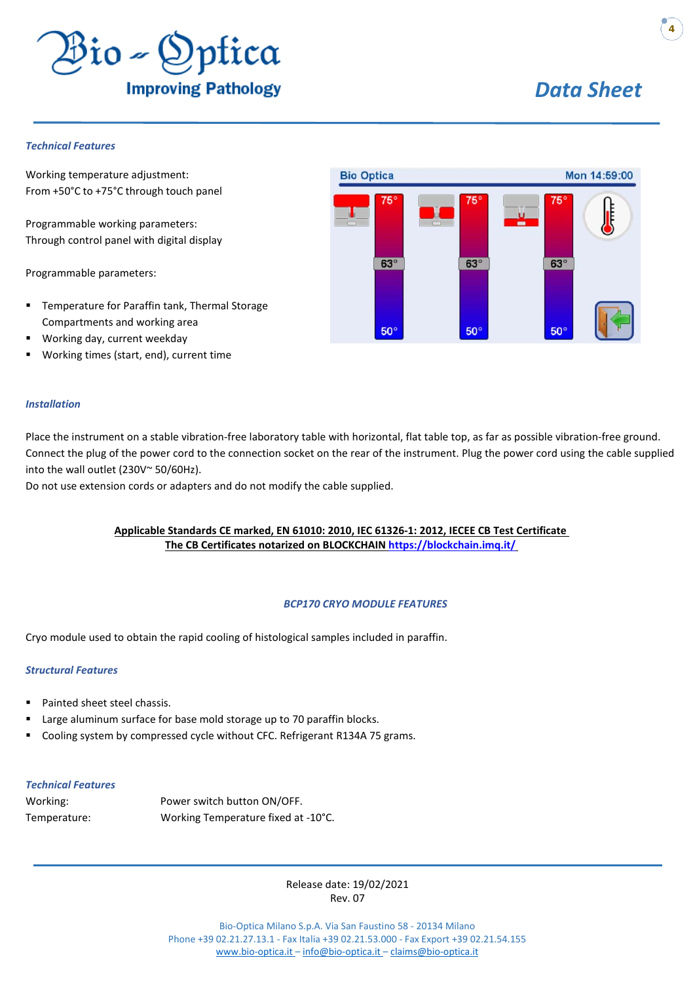

#### *Technical Features*

Working temperature adjustment: From +50°C to +75°C through touch panel

Programmable working parameters: Through control panel with digital display

Programmable parameters:

- **Temperature for Paraffin tank, Thermal Storage** Compartments and working area
- Working day, current weekday
- Working times (start, end), current time

#### *Installation*

Place the instrument on a stable vibration-free laboratory table with horizontal, flat table top, as far as possible vibration-free ground. Connect the plug of the power cord to the connection socket on the rear of the instrument. Plug the power cord using the cable supplied into the wall outlet (230V~ 50/60Hz).

Do not use extension cords or adapters and do not modify the cable supplied.

#### **Applicable Standards CE marked, EN 61010: 2010, IEC 61326-1: 2012, IECEE CB Test Certificate The CB Certificates notarized on BLOCKCHAIN<https://blockchain.imq.it/>**

#### *BCP170 CRYO MODULE FEATURES*

Cryo module used to obtain the rapid cooling of histological samples included in paraffin.

#### *Structural Features*

- Painted sheet steel chassis.
- Large aluminum surface for base mold storage up to 70 paraffin blocks.
- Cooling system by compressed cycle without CFC. Refrigerant R134A 75 grams.

#### *Technical Features*

| Working:     | Power switch button ON/OFF.         |
|--------------|-------------------------------------|
| Temperature: | Working Temperature fixed at -10°C. |

Release date: 19/02/2021 Rev. 07

Bio-Optica Milano S.p.A. Via San Faustino 58 - 20134 Milano Phone +39 02.21.27.13.1 - Fax Italia +39 02.21.53.000 - Fax Export +39 02.21.54.155 www.bio-optica.it – [info@bio-optica.it](mailto:info@bio-optica.it) – claims@bio-optica.it



**DISTRIBUER PAR MODERNE SANTÉ** 

Zone industrielle Ouled Salah - Jijel 18000 Algérie Tél.Fax: + 213 34 54 99 10 + 213 34 54 99 11 + 213 34 54 99 12 + 213 56 00 67 594

www.modernesante.com contact@modernesante.com

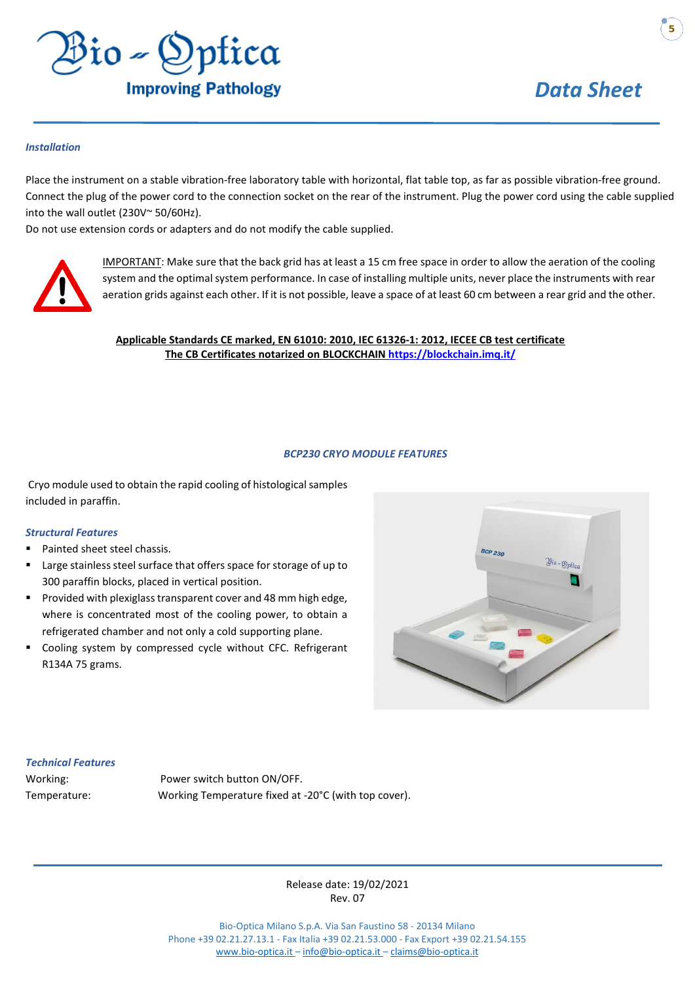

**5**

#### *Installation*

Place the instrument on a stable vibration-free laboratory table with horizontal, flat table top, as far as possible vibration-free ground. Connect the plug of the power cord to the connection socket on the rear of the instrument. Plug the power cord using the cable supplied into the wall outlet (230V~ 50/60Hz).

Do not use extension cords or adapters and do not modify the cable supplied.



IMPORTANT: Make sure that the back grid has at least a 15 cm free space in order to allow the aeration of the cooling system and the optimal system performance. In case of installing multiple units, never place the instruments with rear aeration grids against each other. If it is not possible, leave a space of at least 60 cm between a rear grid and the other.

#### **Applicable Standards CE marked, EN 61010: 2010, IEC 61326-1: 2012, IECEE CB test certificate The CB Certificates notarized on BLOCKCHAIN<https://blockchain.imq.it/>**

#### *BCP230 CRYO MODULE FEATURES*

Cryo module used to obtain the rapid cooling of histological samples included in paraffin.

#### *Structural Features*

- Painted sheet steel chassis.
- Large stainless steel surface that offers space for storage of up to 300 paraffin blocks, placed in vertical position.
- Provided with plexiglass transparent cover and 48 mm high edge, where is concentrated most of the cooling power, to obtain a refrigerated chamber and not only a cold supporting plane.
- Cooling system by compressed cycle without CFC. Refrigerant R134A 75 grams.



#### *Technical Features*

Working: Power switch button ON/OFF. Temperature: Working Temperature fixed at -20°C (with top cover).

> Release date: 19/02/2021 Rev. 07

Bio-Optica Milano S.p.A. Via San Faustino 58 - 20134 Milano Phone +39 02.21.27.13.1 - Fax Italia +39 02.21.53.000 - Fax Export +39 02.21.54.155 www.bio-optica.it – [info@bio-optica.it](mailto:info@bio-optica.it) – claims@bio-optica.it



**DISTRIBUER PAR MODERNE SANTÉ** 

Zone industrielle [Ouled Salah - Jijel 1](http://www.bio-optica.it/)8000 Algérie Tél.Fax: + 213 34 54 99 10 + 213 34 54 99 12 [+ 213 34 54 99 11](mailto:claims@bio-optica.it) + 213 56 00 67 594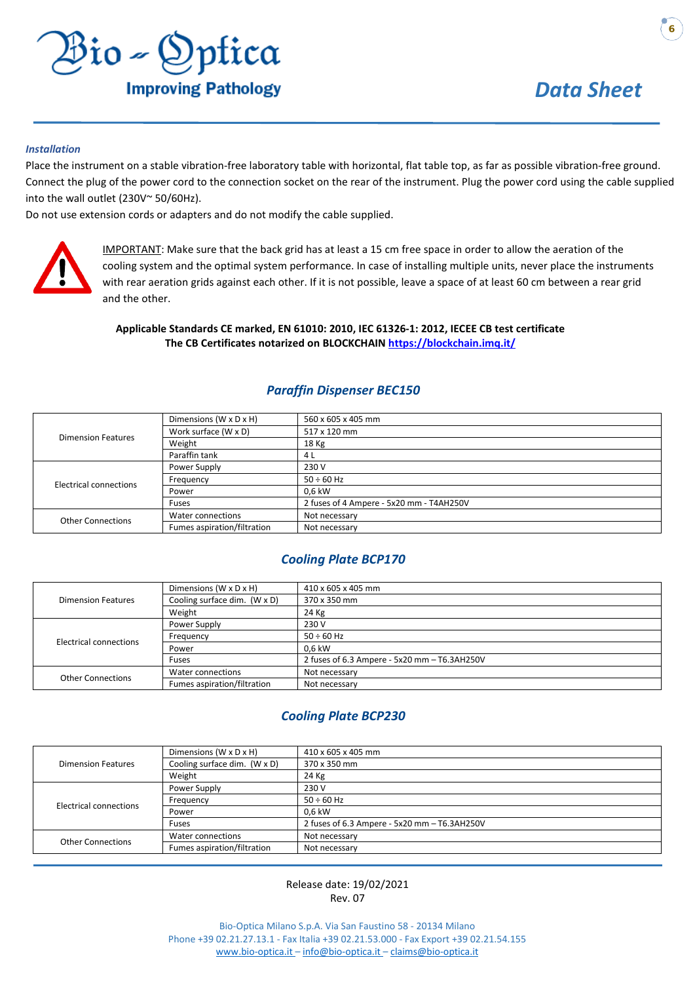

#### *Installation*

Place the instrument on a stable vibration-free laboratory table with horizontal, flat table top, as far as possible vibration-free ground. Connect the plug of the power cord to the connection socket on the rear of the instrument. Plug the power cord using the cable supplied into the wall outlet (230V~ 50/60Hz).

Do not use extension cords or adapters and do not modify the cable supplied.



IMPORTANT: Make sure that the back grid has at least a 15 cm free space in order to allow the aeration of the cooling system and the optimal system performance. In case of installing multiple units, never place the instruments with rear aeration grids against each other. If it is not possible, leave a space of at least 60 cm between a rear grid and the other.

#### **Applicable Standards CE marked, EN 61010: 2010, IEC 61326-1: 2012, IECEE CB test certificate The CB Certificates notarized on BLOCKCHAIN [https://blockchain.im](https://blockchain.imq.it/)q.it/**

#### *Paraffin Dispenser BEC150*

| <b>Dimension Features</b> | Dimensions (W x D x H)      | 560 x 605 x 405 mm                       |
|---------------------------|-----------------------------|------------------------------------------|
|                           | Work surface (W x D)        | 517 x 120 mm                             |
|                           | Weight                      | 18 Kg                                    |
|                           | Paraffin tank               | 4 L                                      |
| Electrical connections    | Power Supply                | 230 V                                    |
|                           | Frequency                   | $50 \div 60$ Hz                          |
|                           | Power                       | 0.6 kW                                   |
|                           | Fuses                       | 2 fuses of 4 Ampere - 5x20 mm - T4AH250V |
| <b>Other Connections</b>  | Water connections           | Not necessary                            |
|                           | Fumes aspiration/filtration | Not necessary                            |

#### *Cooling Plate BCP170*

| <b>Dimension Features</b> | Dimensions (W x D x H)       | 410 x 605 x 405 mm                           |
|---------------------------|------------------------------|----------------------------------------------|
|                           | Cooling surface dim. (W x D) | 370 x 350 mm                                 |
|                           | Weight                       | 24 Kg                                        |
| Electrical connections    | Power Supply                 | 230 V                                        |
|                           | Frequency                    | $50 \div 60$ Hz                              |
|                           | Power                        | 0.6 kW                                       |
|                           | Fuses                        | 2 fuses of 6.3 Ampere - 5x20 mm - T6.3AH250V |
| <b>Other Connections</b>  | Water connections            | Not necessary                                |
|                           | Fumes aspiration/filtration  | Not necessary                                |

#### *Cooling Plate BCP230*

| <b>Dimension Features</b> | Dimensions (W x D x H)       |                                              |
|---------------------------|------------------------------|----------------------------------------------|
|                           | Cooling surface dim. (W x D) | 370 x 350 mm                                 |
|                           | Weight                       | 24 Kg                                        |
| Electrical connections    | Power Supply                 | 230 V                                        |
|                           | Frequency                    | $50 \div 60$ Hz                              |
|                           | Power                        | 0,6 kW                                       |
|                           | Fuses                        | 2 fuses of 6.3 Ampere - 5x20 mm - T6.3AH250V |
| <b>Other Connections</b>  | Water connections            | Not necessary                                |
|                           | Fumes aspiration/filtration  | Not necessary                                |

#### Release ate: 19/02/2021 Rev. 07

Bio-Optica Milano S.p.A. Via San Faustino 58 - 20134 Milano Phone +39 02.21.27.13.1 - Fax Italia +39 02.21.53.000 - Fax Export +39 02.21.54.155 www.bio-optica.it – [info@bio-optica.it](mailto:info@bio-optica.it) – claims@bio-optica.it



**DISTRIBUER PAR MODERNE SANTÉ** 

Zone industrielle [Ouled Salah - Jijel 1](http://www.bio-optica.it/)8000 Algérie

Tél.Fax: + 213 34 54 99 10 [+ 213 34 54 99 11](mailto:claims@bio-optica.it)

+ 213 34 54 99 12 + 213 56 00 67 594 www.modernesante.com contact@modernesante.com